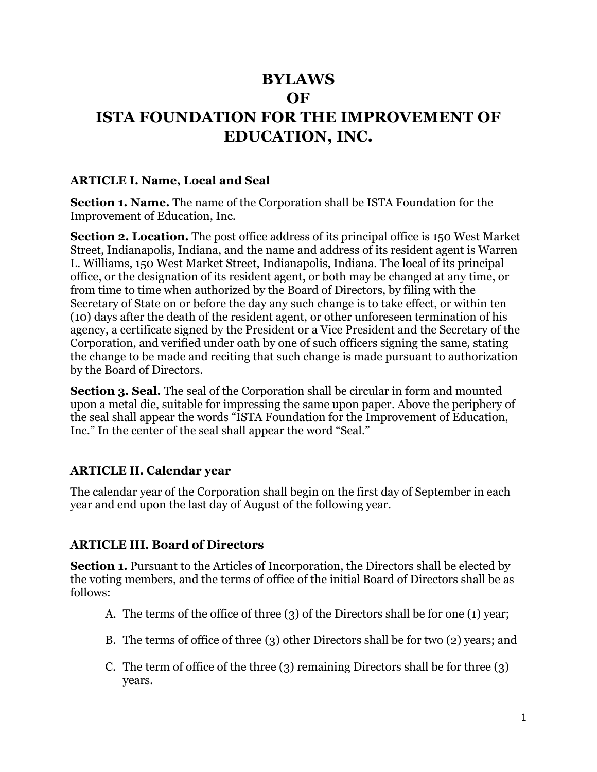# **BYLAWS OF ISTA FOUNDATION FOR THE IMPROVEMENT OF EDUCATION, INC.**

#### **ARTICLE I. Name, Local and Seal**

**Section 1. Name.** The name of the Corporation shall be ISTA Foundation for the Improvement of Education, Inc.

**Section 2. Location.** The post office address of its principal office is 150 West Market Street, Indianapolis, Indiana, and the name and address of its resident agent is Warren L. Williams, 150 West Market Street, Indianapolis, Indiana. The local of its principal office, or the designation of its resident agent, or both may be changed at any time, or from time to time when authorized by the Board of Directors, by filing with the Secretary of State on or before the day any such change is to take effect, or within ten (10) days after the death of the resident agent, or other unforeseen termination of his agency, a certificate signed by the President or a Vice President and the Secretary of the Corporation, and verified under oath by one of such officers signing the same, stating the change to be made and reciting that such change is made pursuant to authorization by the Board of Directors.

**Section 3. Seal.** The seal of the Corporation shall be circular in form and mounted upon a metal die, suitable for impressing the same upon paper. Above the periphery of the seal shall appear the words "ISTA Foundation for the Improvement of Education, Inc." In the center of the seal shall appear the word "Seal."

### **ARTICLE II. Calendar year**

The calendar year of the Corporation shall begin on the first day of September in each year and end upon the last day of August of the following year.

### **ARTICLE III. Board of Directors**

**Section 1.** Pursuant to the Articles of Incorporation, the Directors shall be elected by the voting members, and the terms of office of the initial Board of Directors shall be as follows:

- A. The terms of the office of three (3) of the Directors shall be for one (1) year;
- B. The terms of office of three (3) other Directors shall be for two (2) years; and
- C. The term of office of the three (3) remaining Directors shall be for three (3) years.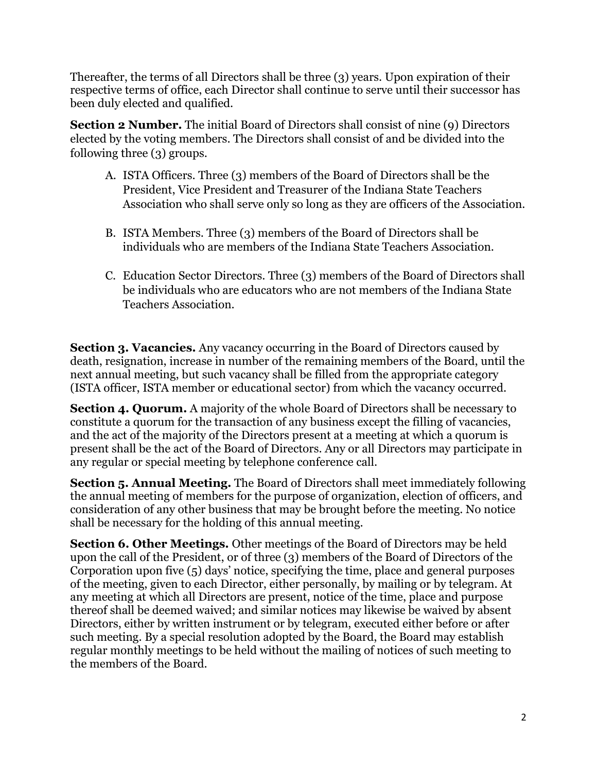Thereafter, the terms of all Directors shall be three (3) years. Upon expiration of their respective terms of office, each Director shall continue to serve until their successor has been duly elected and qualified.

**Section 2 Number.** The initial Board of Directors shall consist of nine (9) Directors elected by the voting members. The Directors shall consist of and be divided into the following three (3) groups.

- A. ISTA Officers. Three (3) members of the Board of Directors shall be the President, Vice President and Treasurer of the Indiana State Teachers Association who shall serve only so long as they are officers of the Association.
- B. ISTA Members. Three (3) members of the Board of Directors shall be individuals who are members of the Indiana State Teachers Association.
- C. Education Sector Directors. Three (3) members of the Board of Directors shall be individuals who are educators who are not members of the Indiana State Teachers Association.

**Section 3. Vacancies.** Any vacancy occurring in the Board of Directors caused by death, resignation, increase in number of the remaining members of the Board, until the next annual meeting, but such vacancy shall be filled from the appropriate category (ISTA officer, ISTA member or educational sector) from which the vacancy occurred.

**Section 4. Quorum.** A majority of the whole Board of Directors shall be necessary to constitute a quorum for the transaction of any business except the filling of vacancies, and the act of the majority of the Directors present at a meeting at which a quorum is present shall be the act of the Board of Directors. Any or all Directors may participate in any regular or special meeting by telephone conference call.

**Section 5. Annual Meeting.** The Board of Directors shall meet immediately following the annual meeting of members for the purpose of organization, election of officers, and consideration of any other business that may be brought before the meeting. No notice shall be necessary for the holding of this annual meeting.

**Section 6. Other Meetings.** Other meetings of the Board of Directors may be held upon the call of the President, or of three (3) members of the Board of Directors of the Corporation upon five (5) days' notice, specifying the time, place and general purposes of the meeting, given to each Director, either personally, by mailing or by telegram. At any meeting at which all Directors are present, notice of the time, place and purpose thereof shall be deemed waived; and similar notices may likewise be waived by absent Directors, either by written instrument or by telegram, executed either before or after such meeting. By a special resolution adopted by the Board, the Board may establish regular monthly meetings to be held without the mailing of notices of such meeting to the members of the Board.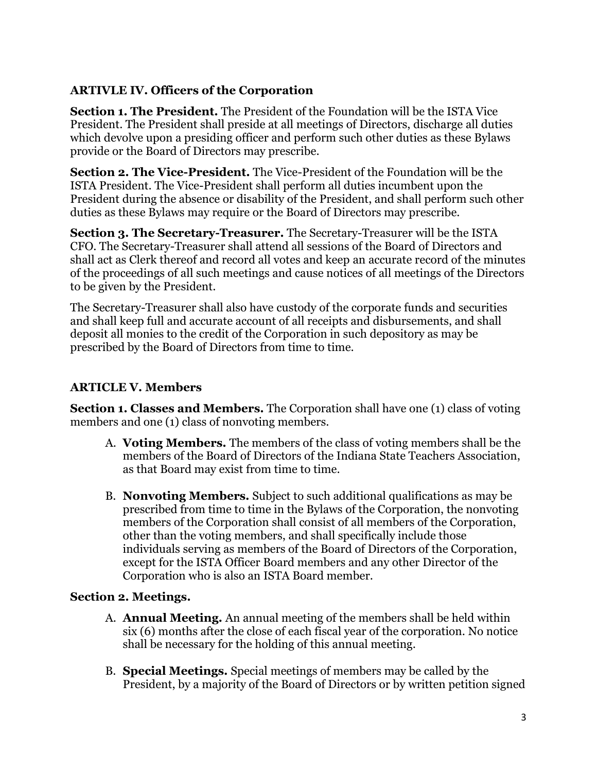## **ARTIVLE IV. Officers of the Corporation**

**Section 1. The President.** The President of the Foundation will be the ISTA Vice President. The President shall preside at all meetings of Directors, discharge all duties which devolve upon a presiding officer and perform such other duties as these Bylaws provide or the Board of Directors may prescribe.

**Section 2. The Vice-President.** The Vice-President of the Foundation will be the ISTA President. The Vice-President shall perform all duties incumbent upon the President during the absence or disability of the President, and shall perform such other duties as these Bylaws may require or the Board of Directors may prescribe.

**Section 3. The Secretary-Treasurer.** The Secretary-Treasurer will be the ISTA CFO. The Secretary-Treasurer shall attend all sessions of the Board of Directors and shall act as Clerk thereof and record all votes and keep an accurate record of the minutes of the proceedings of all such meetings and cause notices of all meetings of the Directors to be given by the President.

The Secretary-Treasurer shall also have custody of the corporate funds and securities and shall keep full and accurate account of all receipts and disbursements, and shall deposit all monies to the credit of the Corporation in such depository as may be prescribed by the Board of Directors from time to time.

## **ARTICLE V. Members**

**Section 1. Classes and Members.** The Corporation shall have one (1) class of voting members and one (1) class of nonvoting members.

- A. **Voting Members.** The members of the class of voting members shall be the members of the Board of Directors of the Indiana State Teachers Association, as that Board may exist from time to time.
- B. **Nonvoting Members.** Subject to such additional qualifications as may be prescribed from time to time in the Bylaws of the Corporation, the nonvoting members of the Corporation shall consist of all members of the Corporation, other than the voting members, and shall specifically include those individuals serving as members of the Board of Directors of the Corporation, except for the ISTA Officer Board members and any other Director of the Corporation who is also an ISTA Board member.

### **Section 2. Meetings.**

- A. **Annual Meeting.** An annual meeting of the members shall be held within six (6) months after the close of each fiscal year of the corporation. No notice shall be necessary for the holding of this annual meeting.
- B. **Special Meetings.** Special meetings of members may be called by the President, by a majority of the Board of Directors or by written petition signed